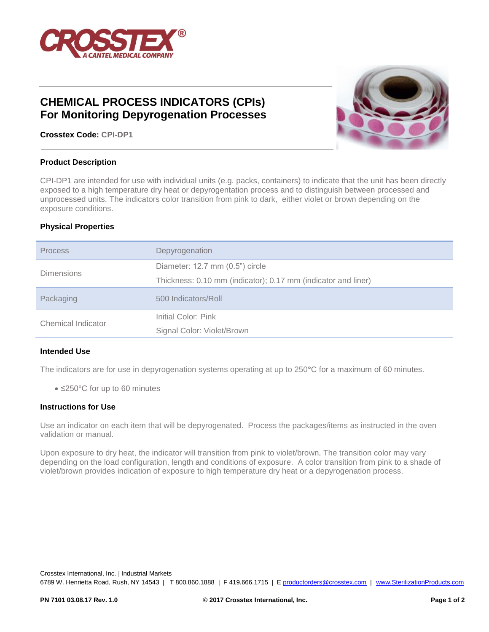

# **CHEMICAL PROCESS INDICATORS (CPIs) For Monitoring Depyrogenation Processes**



**Crosstex Code: CPI-DP1**

## **Product Description**

CPI-DP1 are intended for use with individual units (e.g. packs, containers) to indicate that the unit has been directly exposed to a high temperature dry heat or depyrogentation process and to distinguish between processed and unprocessed units. The indicators color transition from pink to dark, either violet or brown depending on the exposure conditions.

## **Physical Properties**

| <b>Process</b>     | Depyrogenation                                                                                   |  |
|--------------------|--------------------------------------------------------------------------------------------------|--|
| <b>Dimensions</b>  | Diameter: 12.7 mm (0.5") circle<br>Thickness: 0.10 mm (indicator); 0.17 mm (indicator and liner) |  |
| Packaging          | 500 Indicators/Roll                                                                              |  |
| Chemical Indicator | Initial Color: Pink<br>Signal Color: Violet/Brown                                                |  |

#### **Intended Use**

The indicators are for use in depyrogenation systems operating at up to 250**°**C for a maximum of 60 minutes.

• ≤250°C for up to 60 minutes

#### **Instructions for Use**

Use an indicator on each item that will be depyrogenated. Process the packages/items as instructed in the oven validation or manual.

Upon exposure to dry heat, the indicator will transition from pink to violet/brown. The transition color may vary depending on the load configuration, length and conditions of exposure. A color transition from pink to a shade of violet/brown provides indication of exposure to high temperature dry heat or a depyrogenation process.